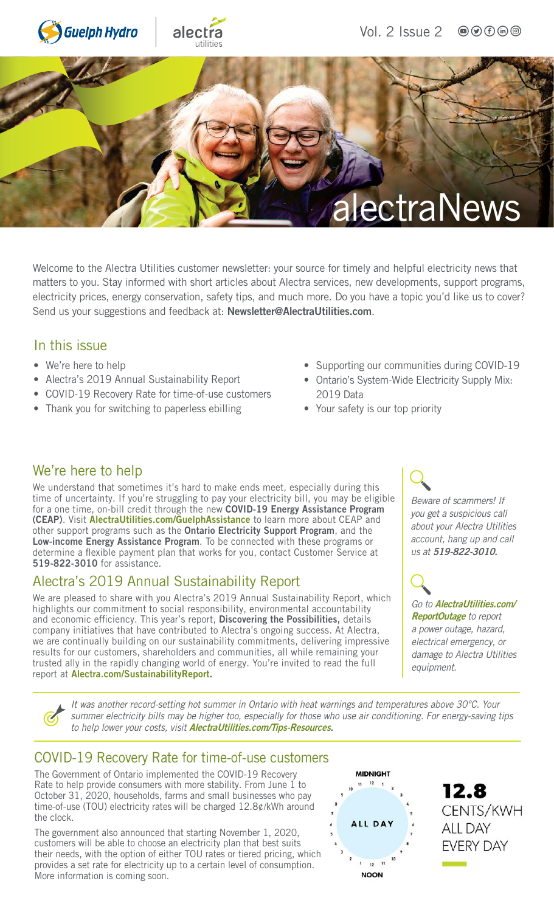

Welcome to the Alectra Utilities customer newsletter: your source for timely and helpful electricity news that matters to you. Stay informed with short articles about Alectra services, new developments, support programs, electricity prices, energy conservation, safety tips, and much more. Do you have a topic you'd like us to cover? Send us your suggestions and feedback at: [Newsletter@AlectraUtilities.com](mailto:newsletter@alectrautilities.com).

#### In this issue

- We're here to help
- Alectra's 2019 Annual Sustainability Report
- COVID-19 Recovery Rate for time-of-use customers
- Thank you for switching to paperless ebilling
- Supporting our communities during COVID-19
- Ontario's System-Wide Electricity Supply Mix: 2019 Data
- Your safety is our top priority

### We're here to help

We understand that sometimes it's hard to make ends meet, especially during this time of uncertainty. If you're struggling to pay your electricity bill, you may be eligible for a one time, on-bill credit through the new COVID-19 Energy Assistance Program (CEAP). Visit [AlectraUtilities.com/GuelphAssistance](http://AlectraUtilities.com/GuelphAssistance) to learn more about CEAP and other support programs such as the Ontario Electricity Support Program, and the Low-income Energy Assistance Program. To be connected with these programs or determine a flexible payment plan that works for you, contact Customer Service at 519-822-3010 for assistance.

### Alectra's 2019 Annual Sustainability Report

We are pleased to share with you Alectra's 2019 Annual Sustainability Report, which highlights our commitment to social responsibility, environmental accountability and economic efficiency. This year's report, Discovering the Possibilities, details company initiatives that have contributed to Alectra's ongoing success. At Alectra, we are continually building on our sustainability commitments, delivering impressive results for our customers, shareholders and communities, all while remaining your trusted ally in the rapidly changing world of energy. You're invited to read the full report at [Alectra.com/SustainabilityReport.](http://Alectra.com/SustainabilityReport)

*Beware of scammers! If you get a suspicious call about your Alectra Utilities account, hang up and call us at* 519-822-3010.

#### *Go to* [AlectraUtilities.com/](http://AlectraUtilities.com/ReportOutage) [ReportOutage](http://AlectraUtilities.com/ReportOutage) *to report*

*a power outage, hazard, electrical emergency, or damage to Alectra Utilities equipment.*

*It was another record-setting hot summer in Ontario with heat warnings and temperatures above 30°C. Your summer electricity bills may be higher too, especially for those who use air conditioning. For energy-saving tips to help lower your costs, visit* [AlectraUtilities.com/Tips-Resources](http://AlectraUtilities.com/Tips-Resources).

## COVID-19 Recovery Rate for time-of-use customers

The Government of Ontario implemented the COVID-19 Recovery Rate to help provide consumers with more stability. From June 1 to October 31, 2020, households, farms and small businesses who pay time-of-use (TOU) electricity rates will be charged 12.8¢/kWh around the clock.

The government also announced that starting November 1, 2020, customers will be able to choose an electricity plan that best suits their needs, with the option of either TOU rates or tiered pricing, which provides a set rate for electricity up to a certain level of consumption. More information is coming soon.



12.8 CENTS/KWH **ALL DAY EVERY DAY**